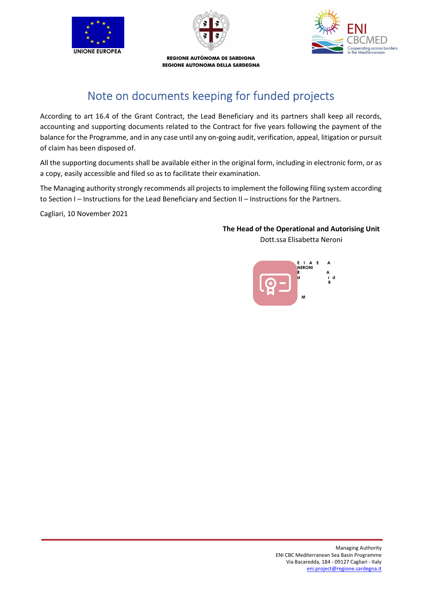



erating across borders<br>Mediterranean

REGIONE AUTÒNOMA DE SARDIGNA REGIONE AUTONOMA DELLA SARDEGNA

# Note on documents keeping for funded projects

According to art 16.4 of the Grant Contract, the Lead Beneficiary and its partners shall keep all records, accounting and supporting documents related to the Contract for five years following the payment of the balance for the Programme, and in any case until any on-going audit, verification, appeal, litigation or pursuit of claim has been disposed of.

All the supporting documents shall be available either in the original form, including in electronic form, or as a copy, easily accessible and filed so as to facilitate their examination.

The Managing authority strongly recommends all projects to implement the following filing system according to Section I – Instructions for the Lead Beneficiary and Section II – Instructions for the Partners.

Cagliari, 10 November 2021

### The Head of the Operational and Autorising Unit Dott.ssa Elisabetta Neroni

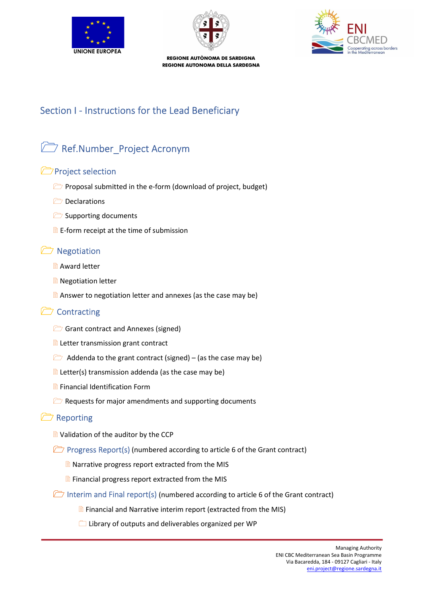





# Section I - Instructions for the Lead Beneficiary

# Ref.Number\_Project Acronym

## **Project selection**

- **Proposal submitted in the e-form (download of project, budget)**
- **Declarations**
- Supporting documents
- $\Box$  E-form receipt at the time of submission

## **□ Negotiation**

- **Award letter**
- **Negotiation letter**
- $\Box$  Answer to negotiation letter and annexes (as the case may be)

## Contracting

- Grant contract and Annexes (signed)
- **E** Letter transmission grant contract
- $\Box$  Addenda to the grant contract (signed) (as the case may be)
- $\exists$  Letter(s) transmission addenda (as the case may be)
- **Financial Identification Form**
- $\Box$  Requests for major amendments and supporting documents

### **P** Reporting

- Validation of the auditor by the CCP
- **Progress Report(s)** (numbered according to article 6 of the Grant contract)
	- **Narrative progress report extracted from the MIS**
	- $\Box$  Financial progress report extracted from the MIS
- Interim and Final report(s) (numbered according to article 6 of the Grant contract)
	- **Financial and Narrative interim report (extracted from the MIS)**
	- Library of outputs and deliverables organized per WP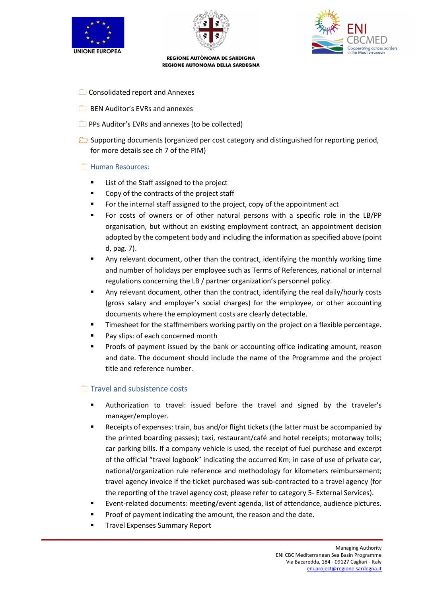





- Consolidated report and Annexes
- **BEN Auditor's EVRs and annexes**
- **PPS Auditor's EVRs and annexes (to be collected)**
- Supporting documents (organized per cost category and distinguished for reporting period, for more details see ch 7 of the PIM)

### **E** Human Resources:

- **EXEC** List of the Staff assigned to the project
- Copy of the contracts of the project staff
- For the internal staff assigned to the project, copy of the appointment act
- For costs of owners or of other natural persons with a specific role in the LB/PP organisation, but without an existing employment contract, an appointment decision adopted by the competent body and including the information as specified above (point d, pag. 7).
- Any relevant document, other than the contract, identifying the monthly working time and number of holidays per employee such as Terms of References, national or internal regulations concerning the LB / partner organization's personnel policy.
- Any relevant document, other than the contract, identifying the real daily/hourly costs (gross salary and employer's social charges) for the employee, or other accounting documents where the employment costs are clearly detectable.
- Timesheet for the staffmembers working partly on the project on a flexible percentage.
- Pay slips: of each concerned month
- Proofs of payment issued by the bank or accounting office indicating amount, reason and date. The document should include the name of the Programme and the project title and reference number.

### Travel and subsistence costs

- Authorization to travel: issued before the travel and signed by the traveler's manager/employer.
- Receipts of expenses: train, bus and/or flight tickets (the latter must be accompanied by the printed boarding passes); taxi, restaurant/café and hotel receipts; motorway tolls; car parking bills. If a company vehicle is used, the receipt of fuel purchase and excerpt of the official "travel logbook" indicating the occurred Km; in case of use of private car, national/organization rule reference and methodology for kilometers reimbursement; travel agency invoice if the ticket purchased was sub-contracted to a travel agency (for the reporting of the travel agency cost, please refer to category 5- External Services).
- Event-related documents: meeting/event agenda, list of attendance, audience pictures.
- Proof of payment indicating the amount, the reason and the date.
- Travel Expenses Summary Report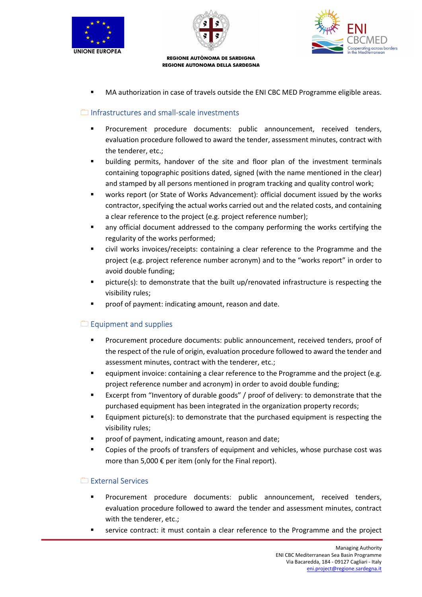





MA authorization in case of travels outside the ENI CBC MED Programme eligible areas.

### $\Box$  Infrastructures and small-scale investments

- Procurement procedure documents: public announcement, received tenders, evaluation procedure followed to award the tender, assessment minutes, contract with the tenderer, etc.;
- building permits, handover of the site and floor plan of the investment terminals containing topographic positions dated, signed (with the name mentioned in the clear) and stamped by all persons mentioned in program tracking and quality control work;
- works report (or State of Works Advancement): official document issued by the works contractor, specifying the actual works carried out and the related costs, and containing a clear reference to the project (e.g. project reference number);
- any official document addressed to the company performing the works certifying the regularity of the works performed;
- civil works invoices/receipts: containing a clear reference to the Programme and the project (e.g. project reference number acronym) and to the "works report" in order to avoid double funding;
- picture(s): to demonstrate that the built up/renovated infrastructure is respecting the visibility rules;
- proof of payment: indicating amount, reason and date.

### $\Box$  Equipment and supplies

- Procurement procedure documents: public announcement, received tenders, proof of the respect of the rule of origin, evaluation procedure followed to award the tender and assessment minutes, contract with the tenderer, etc.;
- equipment invoice: containing a clear reference to the Programme and the project (e.g. project reference number and acronym) in order to avoid double funding;
- Excerpt from "Inventory of durable goods" / proof of delivery: to demonstrate that the purchased equipment has been integrated in the organization property records;
- Equipment picture(s): to demonstrate that the purchased equipment is respecting the visibility rules;
- proof of payment, indicating amount, reason and date;
- Copies of the proofs of transfers of equipment and vehicles, whose purchase cost was more than 5,000 € per item (only for the Final report).

### External Services

- Procurement procedure documents: public announcement, received tenders, evaluation procedure followed to award the tender and assessment minutes, contract with the tenderer, etc.;
- service contract: it must contain a clear reference to the Programme and the project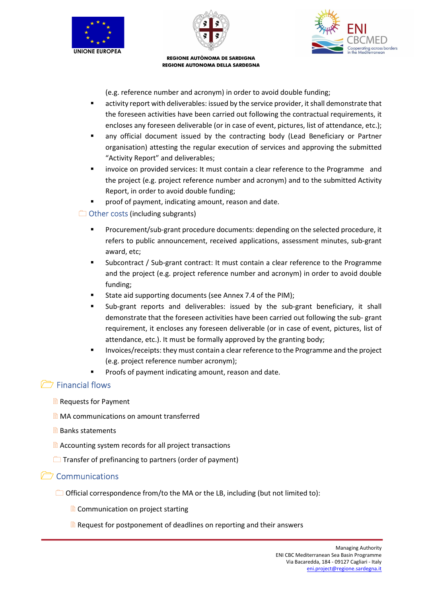





(e.g. reference number and acronym) in order to avoid double funding;

- activity report with deliverables: issued by the service provider, it shall demonstrate that the foreseen activities have been carried out following the contractual requirements, it encloses any foreseen deliverable (or in case of event, pictures, list of attendance, etc.);
- any official document issued by the contracting body (Lead Beneficiary or Partner organisation) attesting the regular execution of services and approving the submitted "Activity Report" and deliverables;
- invoice on provided services: It must contain a clear reference to the Programme and the project (e.g. project reference number and acronym) and to the submitted Activity Report, in order to avoid double funding;
- proof of payment, indicating amount, reason and date.

Other costs (including subgrants)

- Procurement/sub-grant procedure documents: depending on the selected procedure, it refers to public announcement, received applications, assessment minutes, sub-grant award, etc;
- Subcontract / Sub-grant contract: It must contain a clear reference to the Programme and the project (e.g. project reference number and acronym) in order to avoid double funding;
- State aid supporting documents (see Annex 7.4 of the PIM);
- Sub-grant reports and deliverables: issued by the sub-grant beneficiary, it shall demonstrate that the foreseen activities have been carried out following the sub- grant requirement, it encloses any foreseen deliverable (or in case of event, pictures, list of attendance, etc.). It must be formally approved by the granting body;
- Invoices/receipts: they must contain a clear reference to the Programme and the project (e.g. project reference number acronym);
	- Proofs of payment indicating amount, reason and date.

## Financial flows

- Requests for Payment
- **MA** communications on amount transferred
- **Banks statements**
- **E** Accounting system records for all project transactions
- $\Box$  Transfer of prefinancing to partners (order of payment)

## **C** Communications

- $\Box$  Official correspondence from/to the MA or the LB, including (but not limited to):
	- Communication on project starting
	- $\Box$  Request for postponement of deadlines on reporting and their answers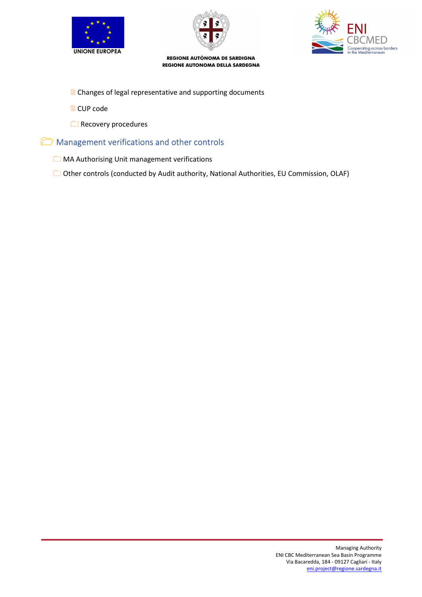





- **E** Changes of legal representative and supporting documents
- **■** CUP code
- Recovery procedures

## **Management verifications and other controls**

**MA Authorising Unit management verifications** 

Other controls (conducted by Audit authority, National Authorities, EU Commission, OLAF)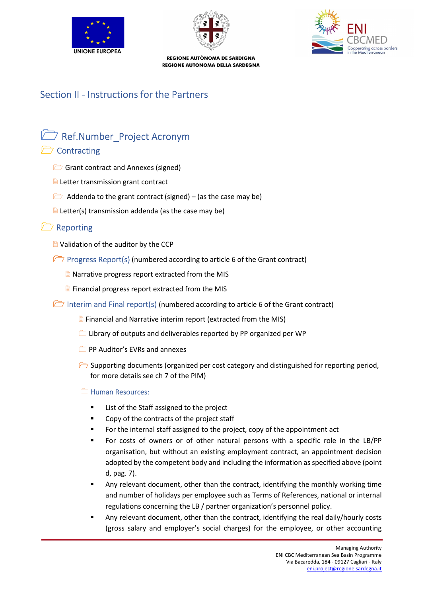





# Section II - Instructions for the Partners

# Ref.Number\_Project Acronym

## Contracting

- Grant contract and Annexes (signed)
- **E** Letter transmission grant contract
- $\Box$  Addenda to the grant contract (signed) (as the case may be)
- $\Box$  Letter(s) transmission addenda (as the case may be)

## Reporting

- **D** Validation of the auditor by the CCP
- **Progress Report(s) (numbered according to article 6 of the Grant contract)** 
	- **Narrative progress report extracted from the MIS**
	- $\Box$  Financial progress report extracted from the MIS
- Interim and Final report(s) (numbered according to article 6 of the Grant contract)
	- $\Box$  Financial and Narrative interim report (extracted from the MIS)
	- $\Box$  Library of outputs and deliverables reported by PP organized per WP
	- **PP Auditor's EVRs and annexes**
	- $\Box$  Supporting documents (organized per cost category and distinguished for reporting period, for more details see ch 7 of the PIM)

### **E** Human Resources:

- List of the Staff assigned to the project
- Copy of the contracts of the project staff
- For the internal staff assigned to the project, copy of the appointment act
- For costs of owners or of other natural persons with a specific role in the LB/PP organisation, but without an existing employment contract, an appointment decision adopted by the competent body and including the information as specified above (point d, pag. 7).
- Any relevant document, other than the contract, identifying the monthly working time and number of holidays per employee such as Terms of References, national or internal regulations concerning the LB / partner organization's personnel policy.
- Any relevant document, other than the contract, identifying the real daily/hourly costs (gross salary and employer's social charges) for the employee, or other accounting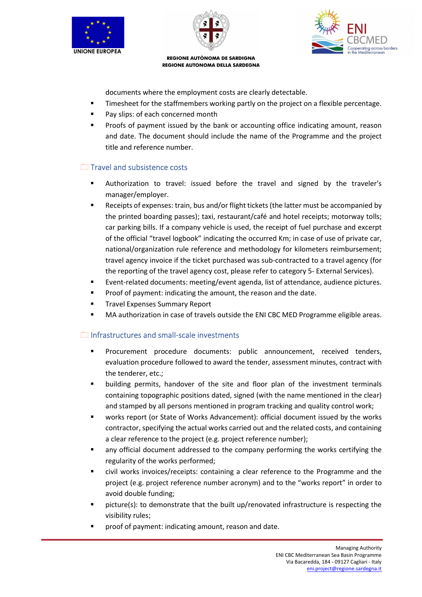



g across borders

REGIONE AUTÒNOMA DE SARDIGNA REGIONE AUTONOMA DELLA SARDEGNA

documents where the employment costs are clearly detectable.

- Timesheet for the staffmembers working partly on the project on a flexible percentage.
- Pay slips: of each concerned month
- Proofs of payment issued by the bank or accounting office indicating amount, reason and date. The document should include the name of the Programme and the project title and reference number.

### Travel and subsistence costs

- Authorization to travel: issued before the travel and signed by the traveler's manager/employer.
- Receipts of expenses: train, bus and/or flight tickets (the latter must be accompanied by the printed boarding passes); taxi, restaurant/café and hotel receipts; motorway tolls; car parking bills. If a company vehicle is used, the receipt of fuel purchase and excerpt of the official "travel logbook" indicating the occurred Km; in case of use of private car, national/organization rule reference and methodology for kilometers reimbursement; travel agency invoice if the ticket purchased was sub-contracted to a travel agency (for the reporting of the travel agency cost, please refer to category 5- External Services).
- Event-related documents: meeting/event agenda, list of attendance, audience pictures.
- Proof of payment: indicating the amount, the reason and the date.
- Travel Expenses Summary Report
- MA authorization in case of travels outside the ENI CBC MED Programme eligible areas.

### Infrastructures and small-scale investments

- Procurement procedure documents: public announcement, received tenders, evaluation procedure followed to award the tender, assessment minutes, contract with the tenderer, etc.;
- building permits, handover of the site and floor plan of the investment terminals containing topographic positions dated, signed (with the name mentioned in the clear) and stamped by all persons mentioned in program tracking and quality control work;
- works report (or State of Works Advancement): official document issued by the works contractor, specifying the actual works carried out and the related costs, and containing a clear reference to the project (e.g. project reference number);
- any official document addressed to the company performing the works certifying the regularity of the works performed;
- civil works invoices/receipts: containing a clear reference to the Programme and the project (e.g. project reference number acronym) and to the "works report" in order to avoid double funding;
- picture(s): to demonstrate that the built up/renovated infrastructure is respecting the visibility rules;
- proof of payment: indicating amount, reason and date.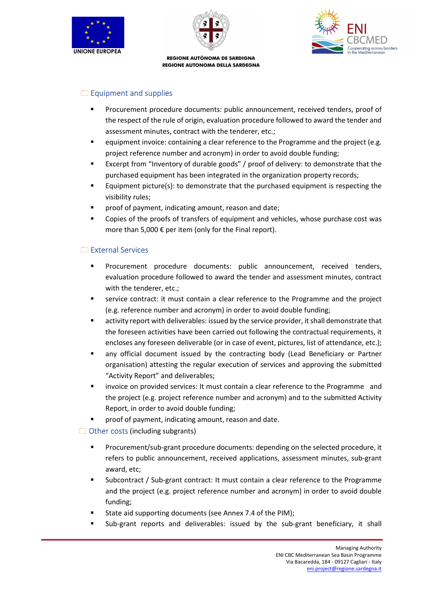





### $\Box$  Equipment and supplies

- Procurement procedure documents: public announcement, received tenders, proof of the respect of the rule of origin, evaluation procedure followed to award the tender and assessment minutes, contract with the tenderer, etc.;
- equipment invoice: containing a clear reference to the Programme and the project (e.g. project reference number and acronym) in order to avoid double funding;
- Excerpt from "Inventory of durable goods" / proof of delivery: to demonstrate that the purchased equipment has been integrated in the organization property records;
- Equipment picture(s): to demonstrate that the purchased equipment is respecting the visibility rules;
- proof of payment, indicating amount, reason and date;
- Copies of the proofs of transfers of equipment and vehicles, whose purchase cost was more than 5,000 € per item (only for the Final report).

### External Services

- Procurement procedure documents: public announcement, received tenders, evaluation procedure followed to award the tender and assessment minutes, contract with the tenderer, etc.;
- service contract: it must contain a clear reference to the Programme and the project (e.g. reference number and acronym) in order to avoid double funding;
- activity report with deliverables: issued by the service provider, it shall demonstrate that the foreseen activities have been carried out following the contractual requirements, it encloses any foreseen deliverable (or in case of event, pictures, list of attendance, etc.);
- any official document issued by the contracting body (Lead Beneficiary or Partner organisation) attesting the regular execution of services and approving the submitted "Activity Report" and deliverables;
- invoice on provided services: It must contain a clear reference to the Programme and the project (e.g. project reference number and acronym) and to the submitted Activity Report, in order to avoid double funding;
- **Phonomented indicating amount, reason and date.**
- $\Box$  Other costs (including subgrants)
	- Procurement/sub-grant procedure documents: depending on the selected procedure, it refers to public announcement, received applications, assessment minutes, sub-grant award, etc;
	- Subcontract / Sub-grant contract: It must contain a clear reference to the Programme and the project (e.g. project reference number and acronym) in order to avoid double funding;
	- State aid supporting documents (see Annex 7.4 of the PIM);
	- Sub-grant reports and deliverables: issued by the sub-grant beneficiary, it shall